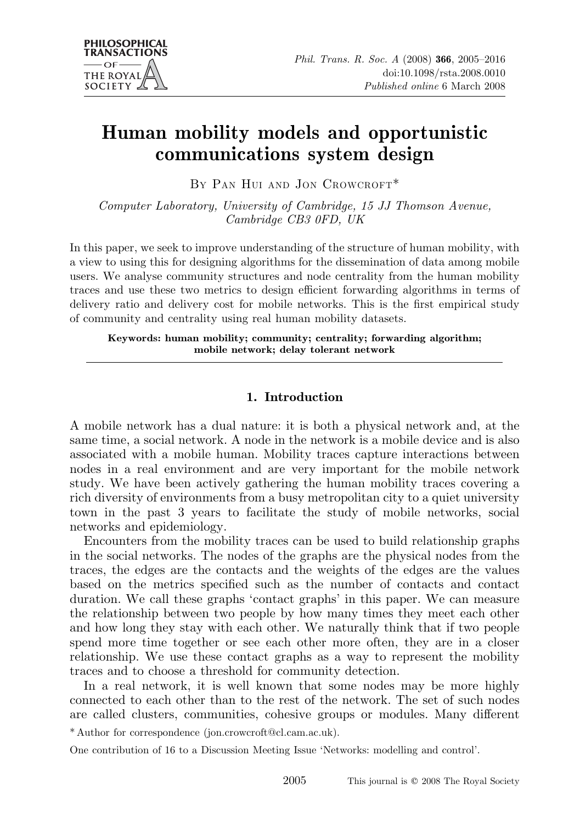

# Human mobility models and opportunistic communications system design

BY PAN HUI AND JON CROWCROFT\*

Computer Laboratory, University of Cambridge, 15 JJ Thomson Avenue, Cambridge CB3 0FD, UK

In this paper, we seek to improve understanding of the structure of human mobility, with a view to using this for designing algorithms for the dissemination of data among mobile users. We analyse community structures and node centrality from the human mobility traces and use these two metrics to design efficient forwarding algorithms in terms of delivery ratio and delivery cost for mobile networks. This is the first empirical study of community and centrality using real human mobility datasets.

Keywords: human mobility; community; centrality; forwarding algorithm; mobile network; delay tolerant network

# 1. Introduction

A mobile network has a dual nature: it is both a physical network and, at the same time, a social network. A node in the network is a mobile device and is also associated with a mobile human. Mobility traces capture interactions between nodes in a real environment and are very important for the mobile network study. We have been actively gathering the human mobility traces covering a rich diversity of environments from a busy metropolitan city to a quiet university town in the past 3 years to facilitate the study of mobile networks, social networks and epidemiology.

Encounters from the mobility traces can be used to build relationship graphs in the social networks. The nodes of the graphs are the physical nodes from the traces, the edges are the contacts and the weights of the edges are the values based on the metrics specified such as the number of contacts and contact duration. We call these graphs 'contact graphs' in this paper. We can measure the relationship between two people by how many times they meet each other and how long they stay with each other. We naturally think that if two people spend more time together or see each other more often, they are in a closer relationship. We use these contact graphs as a way to represent the mobility traces and to choose a threshold for community detection.

In a real network, it is well known that some nodes may be more highly connected to each other than to the rest of the network. The set of such nodes are called clusters, communities, cohesive groups or modules. Many different

\* Author for correspondence (jon.crowcroft@cl.cam.ac.uk).

One contribution of 16 to a Discussion Meeting Issue 'Networks: modelling and control'.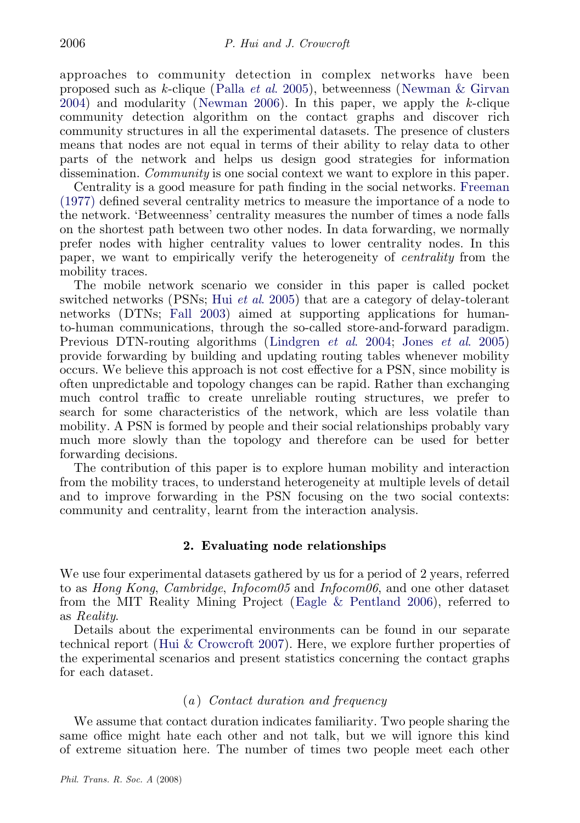approaches to community detection in complex networks have been proposed such as k-clique (Palla et al[. 2005](#page-11-0)), betweenness ([Newman & Girvan](#page-11-0) [2004\)](#page-11-0) and modularity ([Newman 2006\)](#page-11-0). In this paper, we apply the  $k$ -clique community detection algorithm on the contact graphs and discover rich community structures in all the experimental datasets. The presence of clusters means that nodes are not equal in terms of their ability to relay data to other parts of the network and helps us design good strategies for information dissemination. Community is one social context we want to explore in this paper.

Centrality is a good measure for path finding in the social networks. [Freeman](#page-11-0) [\(1977\)](#page-11-0) defined several centrality metrics to measure the importance of a node to the network. 'Betweenness' centrality measures the number of times a node falls on the shortest path between two other nodes. In data forwarding, we normally prefer nodes with higher centrality values to lower centrality nodes. In this paper, we want to empirically verify the heterogeneity of centrality from the mobility traces.

The mobile network scenario we consider in this paper is called pocket switched networks (PSNs; Hui et al[. 2005\)](#page-11-0) that are a category of delay-tolerant networks (DTNs; [Fall 2003\)](#page-11-0) aimed at supporting applications for humanto-human communications, through the so-called store-and-forward paradigm. Previous DTN-routing algorithms ([Lindgren](#page-11-0) et al. 2004; Jones et al[. 2005](#page-11-0)) provide forwarding by building and updating routing tables whenever mobility occurs. We believe this approach is not cost effective for a PSN, since mobility is often unpredictable and topology changes can be rapid. Rather than exchanging much control traffic to create unreliable routing structures, we prefer to search for some characteristics of the network, which are less volatile than mobility. A PSN is formed by people and their social relationships probably vary much more slowly than the topology and therefore can be used for better forwarding decisions.

The contribution of this paper is to explore human mobility and interaction from the mobility traces, to understand heterogeneity at multiple levels of detail and to improve forwarding in the PSN focusing on the two social contexts: community and centrality, learnt from the interaction analysis.

# 2. Evaluating node relationships

We use four experimental datasets gathered by us for a period of 2 years, referred to as Hong Kong, Cambridge, Infocom05 and Infocom06, and one other dataset from the MIT Reality Mining Project ([Eagle & Pentland 2006](#page-11-0)), referred to as Reality.

Details about the experimental environments can be found in our separate technical report ([Hui & Crowcroft 2007\)](#page-11-0). Here, we explore further properties of the experimental scenarios and present statistics concerning the contact graphs for each dataset.

## (a ) Contact duration and frequency

We assume that contact duration indicates familiarity. Two people sharing the same office might hate each other and not talk, but we will ignore this kind of extreme situation here. The number of times two people meet each other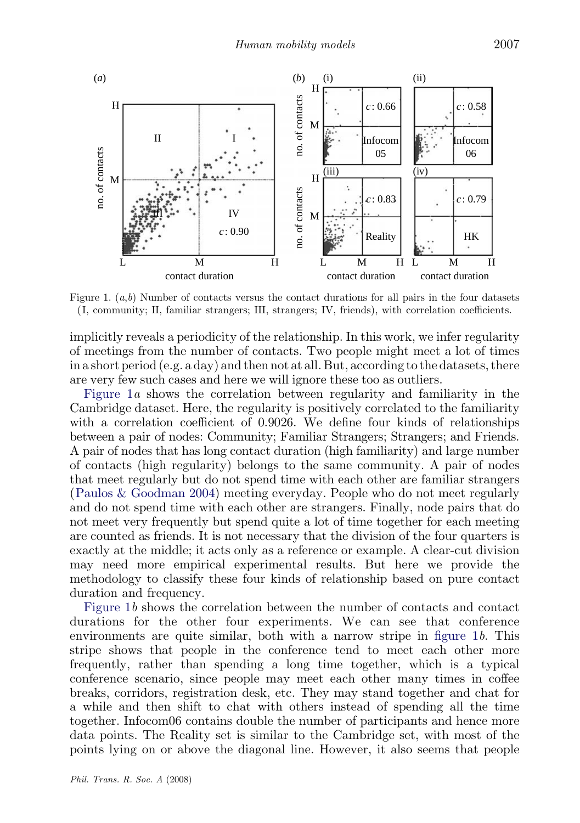

Figure 1.  $(a,b)$  Number of contacts versus the contact durations for all pairs in the four datasets (I, community; II, familiar strangers; III, strangers; IV, friends), with correlation coefficients.

implicitly reveals a periodicity of the relationship. In this work, we infer regularity of meetings from the number of contacts. Two people might meet a lot of times in a short period (e.g. a day) and then not at all. But, according to the datasets, there are very few such cases and here we will ignore these too as outliers.

Figure 1a shows the correlation between regularity and familiarity in the Cambridge dataset. Here, the regularity is positively correlated to the familiarity with a correlation coefficient of 0.9026. We define four kinds of relationships between a pair of nodes: Community; Familiar Strangers; Strangers; and Friends. A pair of nodes that has long contact duration (high familiarity) and large number of contacts (high regularity) belongs to the same community. A pair of nodes that meet regularly but do not spend time with each other are familiar strangers ([Paulos & Goodman 2004\)](#page-11-0) meeting everyday. People who do not meet regularly and do not spend time with each other are strangers. Finally, node pairs that do not meet very frequently but spend quite a lot of time together for each meeting are counted as friends. It is not necessary that the division of the four quarters is exactly at the middle; it acts only as a reference or example. A clear-cut division may need more empirical experimental results. But here we provide the methodology to classify these four kinds of relationship based on pure contact duration and frequency.

Figure 1b shows the correlation between the number of contacts and contact durations for the other four experiments. We can see that conference environments are quite similar, both with a narrow stripe in figure  $1b$ . This stripe shows that people in the conference tend to meet each other more frequently, rather than spending a long time together, which is a typical conference scenario, since people may meet each other many times in coffee breaks, corridors, registration desk, etc. They may stand together and chat for a while and then shift to chat with others instead of spending all the time together. Infocom06 contains double the number of participants and hence more data points. The Reality set is similar to the Cambridge set, with most of the points lying on or above the diagonal line. However, it also seems that people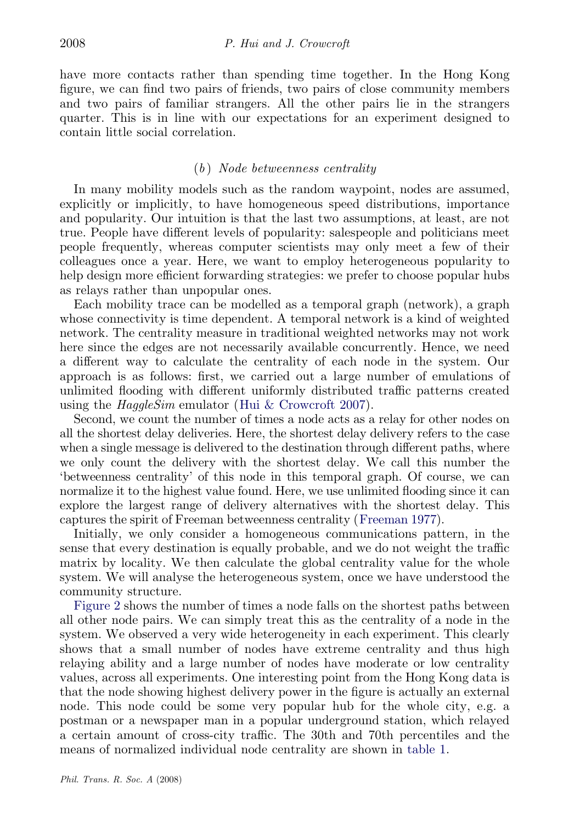have more contacts rather than spending time together. In the Hong Kong figure, we can find two pairs of friends, two pairs of close community members and two pairs of familiar strangers. All the other pairs lie in the strangers quarter. This is in line with our expectations for an experiment designed to contain little social correlation.

#### (b ) Node betweenness centrality

In many mobility models such as the random waypoint, nodes are assumed, explicitly or implicitly, to have homogeneous speed distributions, importance and popularity. Our intuition is that the last two assumptions, at least, are not true. People have different levels of popularity: salespeople and politicians meet people frequently, whereas computer scientists may only meet a few of their colleagues once a year. Here, we want to employ heterogeneous popularity to help design more efficient forwarding strategies: we prefer to choose popular hubs as relays rather than unpopular ones.

Each mobility trace can be modelled as a temporal graph (network), a graph whose connectivity is time dependent. A temporal network is a kind of weighted network. The centrality measure in traditional weighted networks may not work here since the edges are not necessarily available concurrently. Hence, we need a different way to calculate the centrality of each node in the system. Our approach is as follows: first, we carried out a large number of emulations of unlimited flooding with different uniformly distributed traffic patterns created using the *HaggleSim* emulator ([Hui & Crowcroft 2007\)](#page-11-0).

Second, we count the number of times a node acts as a relay for other nodes on all the shortest delay deliveries. Here, the shortest delay delivery refers to the case when a single message is delivered to the destination through different paths, where we only count the delivery with the shortest delay. We call this number the 'betweenness centrality' of this node in this temporal graph. Of course, we can normalize it to the highest value found. Here, we use unlimited flooding since it can explore the largest range of delivery alternatives with the shortest delay. This captures the spirit of Freeman betweenness centrality ([Freeman 1977](#page-11-0)).

Initially, we only consider a homogeneous communications pattern, in the sense that every destination is equally probable, and we do not weight the traffic matrix by locality. We then calculate the global centrality value for the whole system. We will analyse the heterogeneous system, once we have understood the community structure.

[Figure 2](#page-4-0) shows the number of times a node falls on the shortest paths between all other node pairs. We can simply treat this as the centrality of a node in the system. We observed a very wide heterogeneity in each experiment. This clearly shows that a small number of nodes have extreme centrality and thus high relaying ability and a large number of nodes have moderate or low centrality values, across all experiments. One interesting point from the Hong Kong data is that the node showing highest delivery power in the figure is actually an external node. This node could be some very popular hub for the whole city, e.g. a postman or a newspaper man in a popular underground station, which relayed a certain amount of cross-city traffic. The 30th and 70th percentiles and the means of normalized individual node centrality are shown in [table 1](#page-4-0).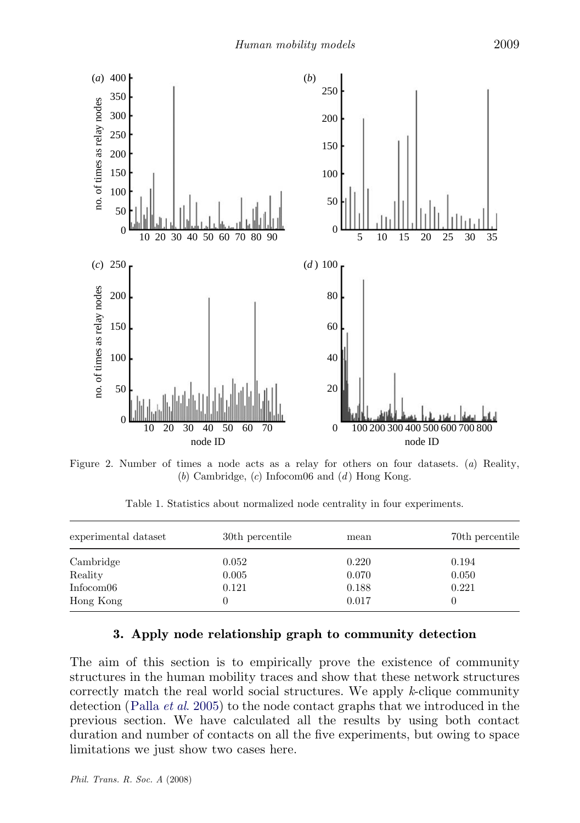<span id="page-4-0"></span>

Figure 2. Number of times a node acts as a relay for others on four datasets. (a) Reality, (b) Cambridge,  $(c)$  Infocom06 and  $(d)$  Hong Kong.

| experimental dataset | 30th percentile | mean  | 70th percentile |
|----------------------|-----------------|-------|-----------------|
| Cambridge            | 0.052           | 0.220 | 0.194           |
| Reality              | 0.005           | 0.070 | 0.050           |
| Infocom06            | 0.121           | 0.188 | 0.221           |
| Hong Kong            |                 | 0.017 |                 |

Table 1. Statistics about normalized node centrality in four experiments.

# 3. Apply node relationship graph to community detection

The aim of this section is to empirically prove the existence of community structures in the human mobility traces and show that these network structures correctly match the real world social structures. We apply k-clique community detection (Palla et al[. 2005](#page-11-0)) to the node contact graphs that we introduced in the previous section. We have calculated all the results by using both contact duration and number of contacts on all the five experiments, but owing to space limitations we just show two cases here.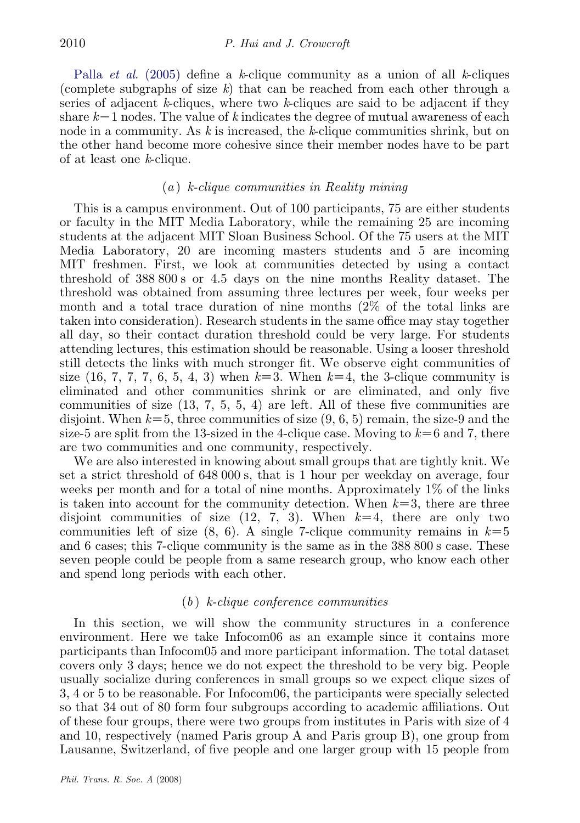Palla et al[. \(2005\)](#page-11-0) define a k-clique community as a union of all k-cliques (complete subgraphs of size  $k$ ) that can be reached from each other through a series of adjacent k-cliques, where two k-cliques are said to be adjacent if they share  $k-1$  nodes. The value of k indicates the degree of mutual awareness of each node in a community. As  $k$  is increased, the k-clique communities shrink, but on the other hand become more cohesive since their member nodes have to be part of at least one k-clique.

#### $(a)$  k-clique communities in Reality mining

This is a campus environment. Out of 100 participants, 75 are either students or faculty in the MIT Media Laboratory, while the remaining 25 are incoming students at the adjacent MIT Sloan Business School. Of the 75 users at the MIT Media Laboratory, 20 are incoming masters students and 5 are incoming MIT freshmen. First, we look at communities detected by using a contact threshold of 388 800 s or 4.5 days on the nine months Reality dataset. The threshold was obtained from assuming three lectures per week, four weeks per month and a total trace duration of nine months (2% of the total links are taken into consideration). Research students in the same office may stay together all day, so their contact duration threshold could be very large. For students attending lectures, this estimation should be reasonable. Using a looser threshold still detects the links with much stronger fit. We observe eight communities of size (16, 7, 7, 7, 6, 5, 4, 3) when  $k=3$ . When  $k=4$ , the 3-clique community is eliminated and other communities shrink or are eliminated, and only five communities of size (13, 7, 5, 5, 4) are left. All of these five communities are disjoint. When  $k=5$ , three communities of size  $(9, 6, 5)$  remain, the size-9 and the size-5 are split from the 13-sized in the 4-clique case. Moving to  $k=6$  and 7, there are two communities and one community, respectively.

We are also interested in knowing about small groups that are tightly knit. We set a strict threshold of 648 000 s, that is 1 hour per weekday on average, four weeks per month and for a total of nine months. Approximately 1% of the links is taken into account for the community detection. When  $k=3$ , there are three disjoint communities of size  $(12, 7, 3)$ . When  $k=4$ , there are only two communities left of size  $(8, 6)$ . A single 7-clique community remains in  $k=5$ and 6 cases; this 7-clique community is the same as in the 388 800 s case. These seven people could be people from a same research group, who know each other and spend long periods with each other.

## $(b)$  k-clique conference communities

In this section, we will show the community structures in a conference environment. Here we take Infocom06 as an example since it contains more participants than Infocom05 and more participant information. The total dataset covers only 3 days; hence we do not expect the threshold to be very big. People usually socialize during conferences in small groups so we expect clique sizes of 3, 4 or 5 to be reasonable. For Infocom06, the participants were specially selected so that 34 out of 80 form four subgroups according to academic affiliations. Out of these four groups, there were two groups from institutes in Paris with size of 4 and 10, respectively (named Paris group A and Paris group B), one group from Lausanne, Switzerland, of five people and one larger group with 15 people from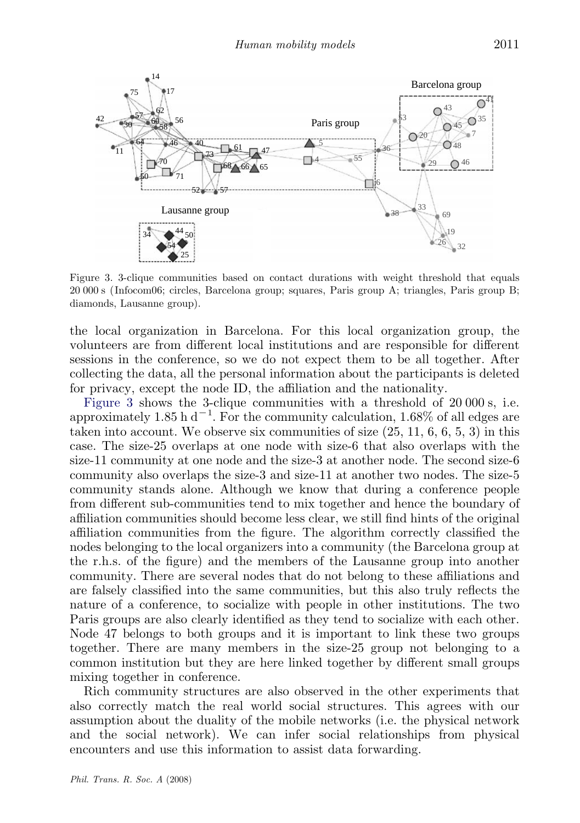

Figure 3. 3-clique communities based on contact durations with weight threshold that equals 20 000 s (Infocom06; circles, Barcelona group; squares, Paris group A; triangles, Paris group B; diamonds, Lausanne group).

the local organization in Barcelona. For this local organization group, the volunteers are from different local institutions and are responsible for different sessions in the conference, so we do not expect them to be all together. After collecting the data, all the personal information about the participants is deleted for privacy, except the node ID, the affiliation and the nationality.

Figure 3 shows the 3-clique communities with a threshold of 20 000 s, i.e. approximately 1.85 h d<sup>-1</sup>. For the community calculation, 1.68% of all edges are taken into account. We observe six communities of size  $(25, 11, 6, 6, 5, 3)$  in this case. The size-25 overlaps at one node with size-6 that also overlaps with the size-11 community at one node and the size-3 at another node. The second size-6 community also overlaps the size-3 and size-11 at another two nodes. The size-5 community stands alone. Although we know that during a conference people from different sub-communities tend to mix together and hence the boundary of affiliation communities should become less clear, we still find hints of the original affiliation communities from the figure. The algorithm correctly classified the nodes belonging to the local organizers into a community (the Barcelona group at the r.h.s. of the figure) and the members of the Lausanne group into another community. There are several nodes that do not belong to these affiliations and are falsely classified into the same communities, but this also truly reflects the nature of a conference, to socialize with people in other institutions. The two Paris groups are also clearly identified as they tend to socialize with each other. Node 47 belongs to both groups and it is important to link these two groups together. There are many members in the size-25 group not belonging to a common institution but they are here linked together by different small groups mixing together in conference.

Rich community structures are also observed in the other experiments that also correctly match the real world social structures. This agrees with our assumption about the duality of the mobile networks (i.e. the physical network and the social network). We can infer social relationships from physical encounters and use this information to assist data forwarding.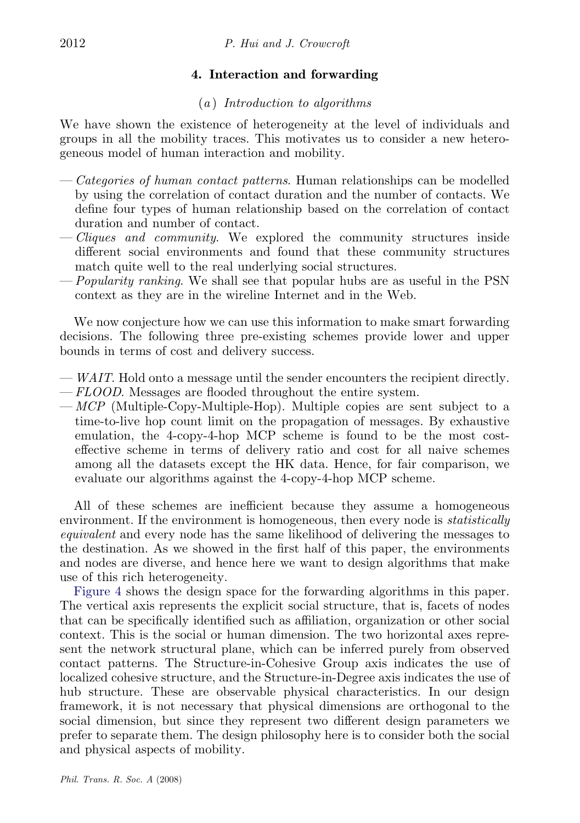# 4. Interaction and forwarding

# $(a)$  Introduction to algorithms

We have shown the existence of heterogeneity at the level of individuals and groups in all the mobility traces. This motivates us to consider a new heterogeneous model of human interaction and mobility.

- $-Cateqories$  of human contact patterns. Human relationships can be modelled by using the correlation of contact duration and the number of contacts. We define four types of human relationship based on the correlation of contact duration and number of contact.
- Cliques and community. We explored the community structures inside different social environments and found that these community structures match quite well to the real underlying social structures.
- Popularity ranking. We shall see that popular hubs are as useful in the PSN context as they are in the wireline Internet and in the Web.

We now conjecture how we can use this information to make smart forwarding decisions. The following three pre-existing schemes provide lower and upper bounds in terms of cost and delivery success.

- WAIT. Hold onto a message until the sender encounters the recipient directly.
- FLOOD. Messages are flooded throughout the entire system.
- $-MCP$  (Multiple-Copy-Multiple-Hop). Multiple copies are sent subject to a time-to-live hop count limit on the propagation of messages. By exhaustive emulation, the 4-copy-4-hop MCP scheme is found to be the most costeffective scheme in terms of delivery ratio and cost for all naive schemes among all the datasets except the HK data. Hence, for fair comparison, we evaluate our algorithms against the 4-copy-4-hop MCP scheme.

All of these schemes are inefficient because they assume a homogeneous environment. If the environment is homogeneous, then every node is *statistically* equivalent and every node has the same likelihood of delivering the messages to the destination. As we showed in the first half of this paper, the environments and nodes are diverse, and hence here we want to design algorithms that make use of this rich heterogeneity.

[Figure 4](#page-8-0) shows the design space for the forwarding algorithms in this paper. The vertical axis represents the explicit social structure, that is, facets of nodes that can be specifically identified such as affiliation, organization or other social context. This is the social or human dimension. The two horizontal axes represent the network structural plane, which can be inferred purely from observed contact patterns. The Structure-in-Cohesive Group axis indicates the use of localized cohesive structure, and the Structure-in-Degree axis indicates the use of hub structure. These are observable physical characteristics. In our design framework, it is not necessary that physical dimensions are orthogonal to the social dimension, but since they represent two different design parameters we prefer to separate them. The design philosophy here is to consider both the social and physical aspects of mobility.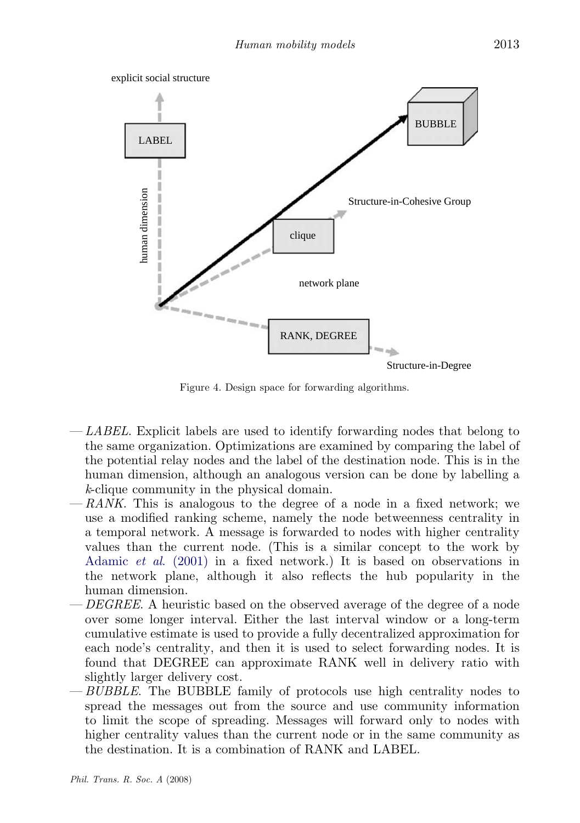<span id="page-8-0"></span>

Figure 4. Design space for forwarding algorithms.

- $-LABEL$ . Explicit labels are used to identify forwarding nodes that belong to the same organization. Optimizations are examined by comparing the label of the potential relay nodes and the label of the destination node. This is in the human dimension, although an analogous version can be done by labelling a k-clique community in the physical domain.
- RANK. This is analogous to the degree of a node in a fixed network; we use a modified ranking scheme, namely the node betweenness centrality in a temporal network. A message is forwarded to nodes with higher centrality values than the current node. (This is a similar concept to the work by Adamic et al[. \(2001\)](#page-11-0) in a fixed network.) It is based on observations in the network plane, although it also reflects the hub popularity in the human dimension.
- DEGREE. A heuristic based on the observed average of the degree of a node over some longer interval. Either the last interval window or a long-term cumulative estimate is used to provide a fully decentralized approximation for each node's centrality, and then it is used to select forwarding nodes. It is found that DEGREE can approximate RANK well in delivery ratio with slightly larger delivery cost.
- BUBBLE. The BUBBLE family of protocols use high centrality nodes to spread the messages out from the source and use community information to limit the scope of spreading. Messages will forward only to nodes with higher centrality values than the current node or in the same community as the destination. It is a combination of RANK and LABEL.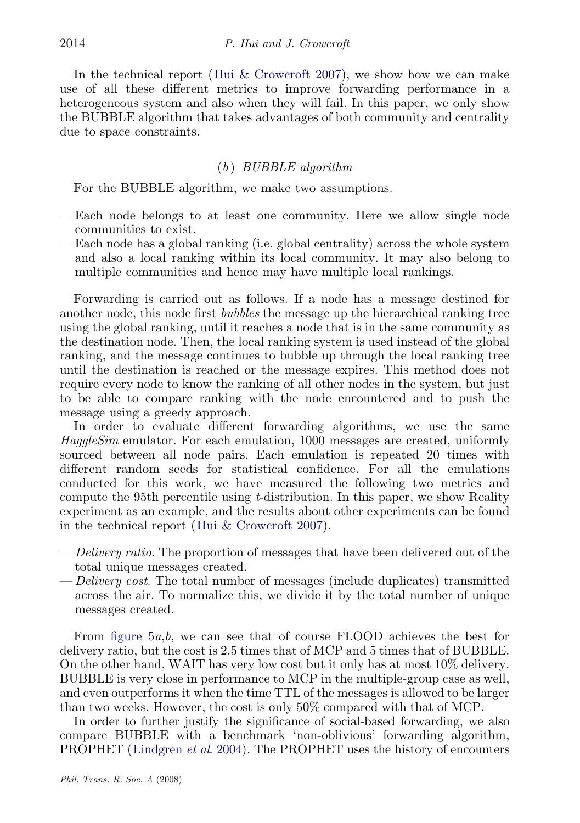In the technical report (Hui  $&$  Crowcroft 2007), we show how we can make use of all these different metrics to improve forwarding performance in a heterogeneous system and also when they will fail. In this paper, we only show the BUBBLE algorithm that takes advantages of both community and centrality due to space constraints.

#### $(b)$  BUBBLE algorithm

For the BUBBLE algorithm, we make two assumptions.

- Each node belongs to at least one community. Here we allow single node communities to exist.
- Each node has a global ranking (i.e. global centrality) across the whole system and also a local ranking within its local community. It may also belong to multiple communities and hence may have multiple local rankings.

Forwarding is carried out as follows. If a node has a message destined for another node, this node first bubbles the message up the hierarchical ranking tree using the global ranking, until it reaches a node that is in the same community as the destination node. Then, the local ranking system is used instead of the global ranking, and the message continues to bubble up through the local ranking tree until the destination is reached or the message expires. This method does not require every node to know the ranking of all other nodes in the system, but just to be able to compare ranking with the node encountered and to push the message using a greedy approach.

In order to evaluate different forwarding algorithms, we use the same HaggleSim emulator. For each emulation, 1000 messages are created, uniformly sourced between all node pairs. Each emulation is repeated 20 times with different random seeds for statistical confidence. For all the emulations conducted for this work, we have measured the following two metrics and compute the 95th percentile using  $t$ -distribution. In this paper, we show Reality experiment as an example, and the results about other experiments can be found in the technical report ([Hui & Crowcroft 2007](#page-11-0)).

- Delivery ratio. The proportion of messages that have been delivered out of the total unique messages created.
- Delivery cost. The total number of messages (include duplicates) transmitted across the air. To normalize this, we divide it by the total number of unique messages created.

From [figure 5](#page-10-0)a,b, we can see that of course FLOOD achieves the best for delivery ratio, but the cost is 2.5 times that of MCP and 5 times that of BUBBLE. On the other hand, WAIT has very low cost but it only has at most 10% delivery. BUBBLE is very close in performance to MCP in the multiple-group case as well, and even outperforms it when the time TTL of the messages is allowed to be larger than two weeks. However, the cost is only 50% compared with that of MCP.

In order to further justify the significance of social-based forwarding, we also compare BUBBLE with a benchmark 'non-oblivious' forwarding algorithm, PROPHET ([Lindgren](#page-11-0) *et al.* 2004). The PROPHET uses the history of encounters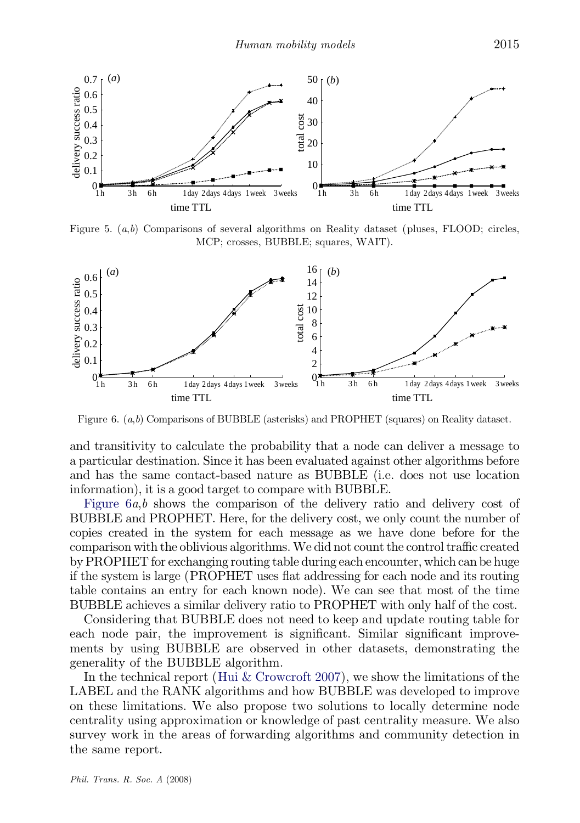<span id="page-10-0"></span>

Figure 5.  $(a,b)$  Comparisons of several algorithms on Reality dataset (pluses, FLOOD; circles, MCP; crosses, BUBBLE; squares, WAIT).



Figure 6.  $(a,b)$  Comparisons of BUBBLE (asterisks) and PROPHET (squares) on Reality dataset.

and transitivity to calculate the probability that a node can deliver a message to a particular destination. Since it has been evaluated against other algorithms before and has the same contact-based nature as BUBBLE (i.e. does not use location information), it is a good target to compare with BUBBLE.

Figure 6a,b shows the comparison of the delivery ratio and delivery cost of BUBBLE and PROPHET. Here, for the delivery cost, we only count the number of copies created in the system for each message as we have done before for the comparison with the oblivious algorithms.We did not count the control traffic created by PROPHET for exchanging routing table during each encounter, which can be huge if the system is large (PROPHET uses flat addressing for each node and its routing table contains an entry for each known node). We can see that most of the time BUBBLE achieves a similar delivery ratio to PROPHET with only half of the cost.

Considering that BUBBLE does not need to keep and update routing table for each node pair, the improvement is significant. Similar significant improvements by using BUBBLE are observed in other datasets, demonstrating the generality of the BUBBLE algorithm.

In the technical report (Hui  $&$  Crowcroft 2007), we show the limitations of the LABEL and the RANK algorithms and how BUBBLE was developed to improve on these limitations. We also propose two solutions to locally determine node centrality using approximation or knowledge of past centrality measure. We also survey work in the areas of forwarding algorithms and community detection in the same report.